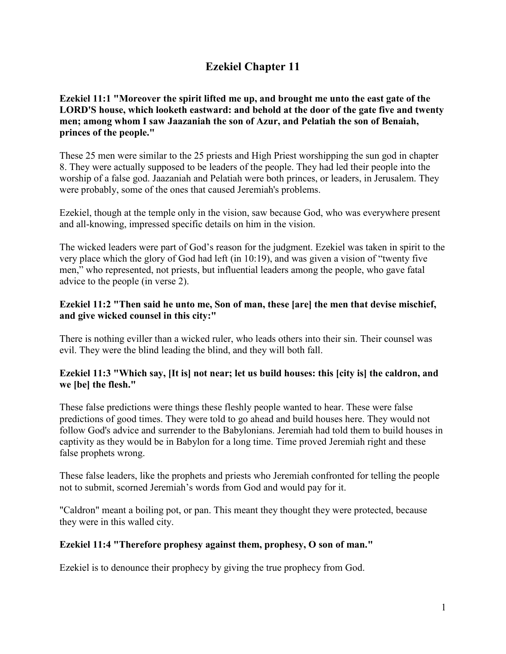## **Ezekiel Chapter 11**

## **Ezekiel 11:1 "Moreover the spirit lifted me up, and brought me unto the east gate of the LORD'S house, which looketh eastward: and behold at the door of the gate five and twenty men; among whom I saw Jaazaniah the son of Azur, and Pelatiah the son of Benaiah, princes of the people."**

These 25 men were similar to the 25 priests and High Priest worshipping the sun god in chapter 8. They were actually supposed to be leaders of the people. They had led their people into the worship of a false god. Jaazaniah and Pelatiah were both princes, or leaders, in Jerusalem. They were probably, some of the ones that caused Jeremiah's problems.

Ezekiel, though at the temple only in the vision, saw because God, who was everywhere present and all-knowing, impressed specific details on him in the vision.

The wicked leaders were part of God's reason for the judgment. Ezekiel was taken in spirit to the very place which the glory of God had left (in 10:19), and was given a vision of "twenty five men," who represented, not priests, but influential leaders among the people, who gave fatal advice to the people (in verse 2).

## **Ezekiel 11:2 "Then said he unto me, Son of man, these [are] the men that devise mischief, and give wicked counsel in this city:"**

There is nothing eviller than a wicked ruler, who leads others into their sin. Their counsel was evil. They were the blind leading the blind, and they will both fall.

## **Ezekiel 11:3 "Which say, [It is] not near; let us build houses: this [city is] the caldron, and we [be] the flesh."**

These false predictions were things these fleshly people wanted to hear. These were false predictions of good times. They were told to go ahead and build houses here. They would not follow God's advice and surrender to the Babylonians. Jeremiah had told them to build houses in captivity as they would be in Babylon for a long time. Time proved Jeremiah right and these false prophets wrong.

These false leaders, like the prophets and priests who Jeremiah confronted for telling the people not to submit, scorned Jeremiah's words from God and would pay for it.

"Caldron" meant a boiling pot, or pan. This meant they thought they were protected, because they were in this walled city.

## **Ezekiel 11:4 "Therefore prophesy against them, prophesy, O son of man."**

Ezekiel is to denounce their prophecy by giving the true prophecy from God.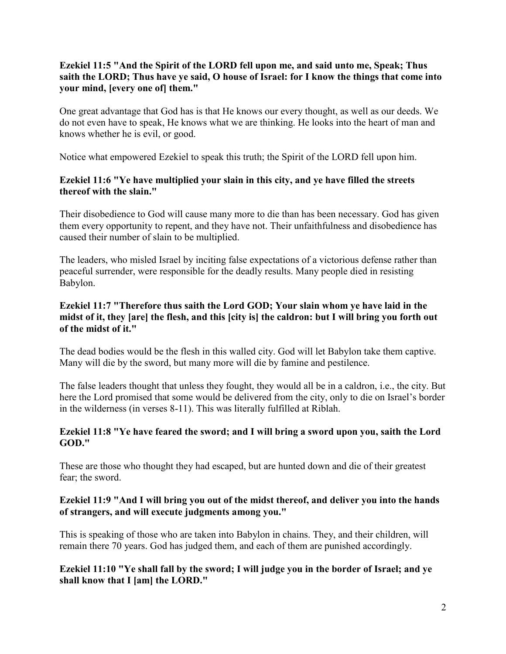## **Ezekiel 11:5 "And the Spirit of the LORD fell upon me, and said unto me, Speak; Thus saith the LORD; Thus have ye said, O house of Israel: for I know the things that come into your mind, [every one of] them."**

One great advantage that God has is that He knows our every thought, as well as our deeds. We do not even have to speak, He knows what we are thinking. He looks into the heart of man and knows whether he is evil, or good.

Notice what empowered Ezekiel to speak this truth; the Spirit of the LORD fell upon him.

#### **Ezekiel 11:6 "Ye have multiplied your slain in this city, and ye have filled the streets thereof with the slain."**

Their disobedience to God will cause many more to die than has been necessary. God has given them every opportunity to repent, and they have not. Their unfaithfulness and disobedience has caused their number of slain to be multiplied.

The leaders, who misled Israel by inciting false expectations of a victorious defense rather than peaceful surrender, were responsible for the deadly results. Many people died in resisting Babylon.

## **Ezekiel 11:7 "Therefore thus saith the Lord GOD; Your slain whom ye have laid in the midst of it, they [are] the flesh, and this [city is] the caldron: but I will bring you forth out of the midst of it."**

The dead bodies would be the flesh in this walled city. God will let Babylon take them captive. Many will die by the sword, but many more will die by famine and pestilence.

The false leaders thought that unless they fought, they would all be in a caldron, i.e., the city. But here the Lord promised that some would be delivered from the city, only to die on Israel's border in the wilderness (in verses 8-11). This was literally fulfilled at Riblah.

## **Ezekiel 11:8 "Ye have feared the sword; and I will bring a sword upon you, saith the Lord GOD."**

These are those who thought they had escaped, but are hunted down and die of their greatest fear; the sword.

## **Ezekiel 11:9 "And I will bring you out of the midst thereof, and deliver you into the hands of strangers, and will execute judgments among you."**

This is speaking of those who are taken into Babylon in chains. They, and their children, will remain there 70 years. God has judged them, and each of them are punished accordingly.

## **Ezekiel 11:10 "Ye shall fall by the sword; I will judge you in the border of Israel; and ye shall know that I [am] the LORD."**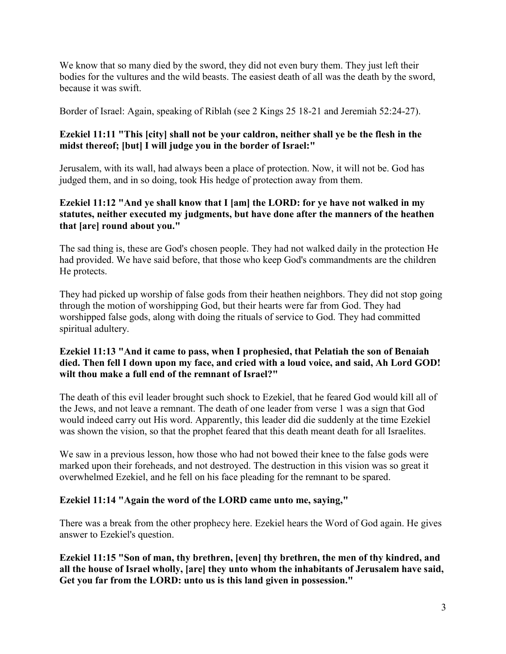We know that so many died by the sword, they did not even bury them. They just left their bodies for the vultures and the wild beasts. The easiest death of all was the death by the sword, because it was swift.

Border of Israel: Again, speaking of Riblah (see 2 Kings 25 18-21 and Jeremiah 52:24-27).

## **Ezekiel 11:11 "This [city] shall not be your caldron, neither shall ye be the flesh in the midst thereof; [but] I will judge you in the border of Israel:"**

Jerusalem, with its wall, had always been a place of protection. Now, it will not be. God has judged them, and in so doing, took His hedge of protection away from them.

## **Ezekiel 11:12 "And ye shall know that I [am] the LORD: for ye have not walked in my statutes, neither executed my judgments, but have done after the manners of the heathen that [are] round about you."**

The sad thing is, these are God's chosen people. They had not walked daily in the protection He had provided. We have said before, that those who keep God's commandments are the children He protects.

They had picked up worship of false gods from their heathen neighbors. They did not stop going through the motion of worshipping God, but their hearts were far from God. They had worshipped false gods, along with doing the rituals of service to God. They had committed spiritual adultery.

## **Ezekiel 11:13 "And it came to pass, when I prophesied, that Pelatiah the son of Benaiah died. Then fell I down upon my face, and cried with a loud voice, and said, Ah Lord GOD! wilt thou make a full end of the remnant of Israel?"**

The death of this evil leader brought such shock to Ezekiel, that he feared God would kill all of the Jews, and not leave a remnant. The death of one leader from verse 1 was a sign that God would indeed carry out His word. Apparently, this leader did die suddenly at the time Ezekiel was shown the vision, so that the prophet feared that this death meant death for all Israelites.

We saw in a previous lesson, how those who had not bowed their knee to the false gods were marked upon their foreheads, and not destroyed. The destruction in this vision was so great it overwhelmed Ezekiel, and he fell on his face pleading for the remnant to be spared.

## **Ezekiel 11:14 "Again the word of the LORD came unto me, saying,"**

There was a break from the other prophecy here. Ezekiel hears the Word of God again. He gives answer to Ezekiel's question.

**Ezekiel 11:15 "Son of man, thy brethren, [even] thy brethren, the men of thy kindred, and all the house of Israel wholly, [are] they unto whom the inhabitants of Jerusalem have said, Get you far from the LORD: unto us is this land given in possession."**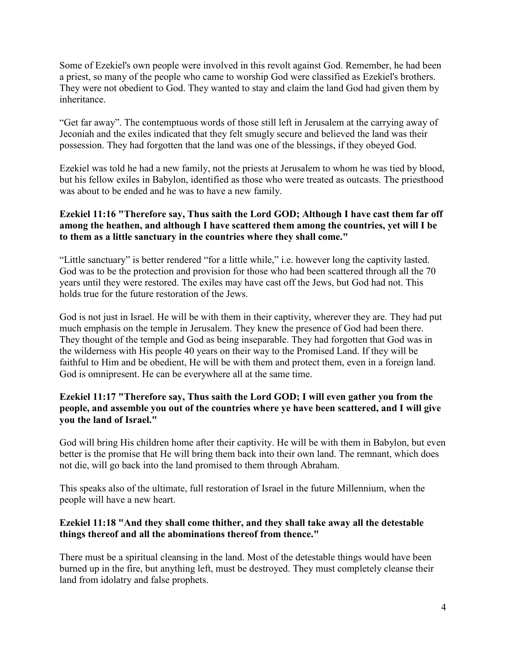Some of Ezekiel's own people were involved in this revolt against God. Remember, he had been a priest, so many of the people who came to worship God were classified as Ezekiel's brothers. They were not obedient to God. They wanted to stay and claim the land God had given them by inheritance.

"Get far away". The contemptuous words of those still left in Jerusalem at the carrying away of Jeconiah and the exiles indicated that they felt smugly secure and believed the land was their possession. They had forgotten that the land was one of the blessings, if they obeyed God.

Ezekiel was told he had a new family, not the priests at Jerusalem to whom he was tied by blood, but his fellow exiles in Babylon, identified as those who were treated as outcasts. The priesthood was about to be ended and he was to have a new family.

## **Ezekiel 11:16 "Therefore say, Thus saith the Lord GOD; Although I have cast them far off among the heathen, and although I have scattered them among the countries, yet will I be to them as a little sanctuary in the countries where they shall come."**

"Little sanctuary" is better rendered "for a little while," i.e. however long the captivity lasted. God was to be the protection and provision for those who had been scattered through all the 70 years until they were restored. The exiles may have cast off the Jews, but God had not. This holds true for the future restoration of the Jews.

God is not just in Israel. He will be with them in their captivity, wherever they are. They had put much emphasis on the temple in Jerusalem. They knew the presence of God had been there. They thought of the temple and God as being inseparable. They had forgotten that God was in the wilderness with His people 40 years on their way to the Promised Land. If they will be faithful to Him and be obedient, He will be with them and protect them, even in a foreign land. God is omnipresent. He can be everywhere all at the same time.

## **Ezekiel 11:17 "Therefore say, Thus saith the Lord GOD; I will even gather you from the people, and assemble you out of the countries where ye have been scattered, and I will give you the land of Israel."**

God will bring His children home after their captivity. He will be with them in Babylon, but even better is the promise that He will bring them back into their own land. The remnant, which does not die, will go back into the land promised to them through Abraham.

This speaks also of the ultimate, full restoration of Israel in the future Millennium, when the people will have a new heart.

## **Ezekiel 11:18 "And they shall come thither, and they shall take away all the detestable things thereof and all the abominations thereof from thence."**

There must be a spiritual cleansing in the land. Most of the detestable things would have been burned up in the fire, but anything left, must be destroyed. They must completely cleanse their land from idolatry and false prophets.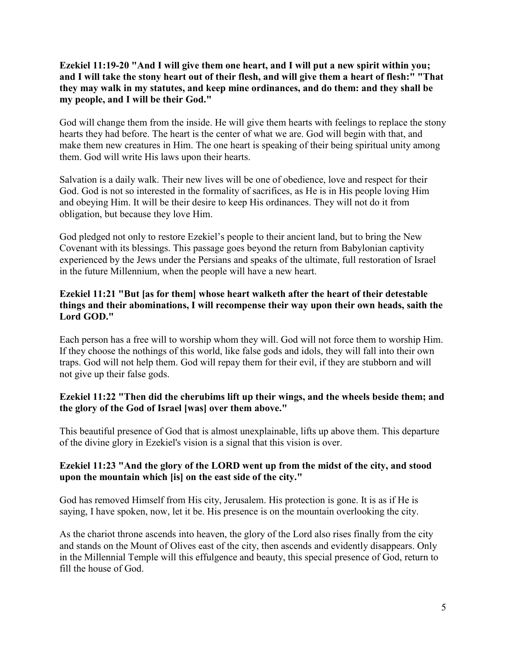**Ezekiel 11:19-20 "And I will give them one heart, and I will put a new spirit within you; and I will take the stony heart out of their flesh, and will give them a heart of flesh:" "That they may walk in my statutes, and keep mine ordinances, and do them: and they shall be my people, and I will be their God."**

God will change them from the inside. He will give them hearts with feelings to replace the stony hearts they had before. The heart is the center of what we are. God will begin with that, and make them new creatures in Him. The one heart is speaking of their being spiritual unity among them. God will write His laws upon their hearts.

Salvation is a daily walk. Their new lives will be one of obedience, love and respect for their God. God is not so interested in the formality of sacrifices, as He is in His people loving Him and obeying Him. It will be their desire to keep His ordinances. They will not do it from obligation, but because they love Him.

God pledged not only to restore Ezekiel's people to their ancient land, but to bring the New Covenant with its blessings. This passage goes beyond the return from Babylonian captivity experienced by the Jews under the Persians and speaks of the ultimate, full restoration of Israel in the future Millennium, when the people will have a new heart.

## **Ezekiel 11:21 "But [as for them] whose heart walketh after the heart of their detestable things and their abominations, I will recompense their way upon their own heads, saith the Lord GOD."**

Each person has a free will to worship whom they will. God will not force them to worship Him. If they choose the nothings of this world, like false gods and idols, they will fall into their own traps. God will not help them. God will repay them for their evil, if they are stubborn and will not give up their false gods.

## **Ezekiel 11:22 "Then did the cherubims lift up their wings, and the wheels beside them; and the glory of the God of Israel [was] over them above."**

This beautiful presence of God that is almost unexplainable, lifts up above them. This departure of the divine glory in Ezekiel's vision is a signal that this vision is over.

## **Ezekiel 11:23 "And the glory of the LORD went up from the midst of the city, and stood upon the mountain which [is] on the east side of the city."**

God has removed Himself from His city, Jerusalem. His protection is gone. It is as if He is saying, I have spoken, now, let it be. His presence is on the mountain overlooking the city.

As the chariot throne ascends into heaven, the glory of the Lord also rises finally from the city and stands on the Mount of Olives east of the city, then ascends and evidently disappears. Only in the Millennial Temple will this effulgence and beauty, this special presence of God, return to fill the house of God.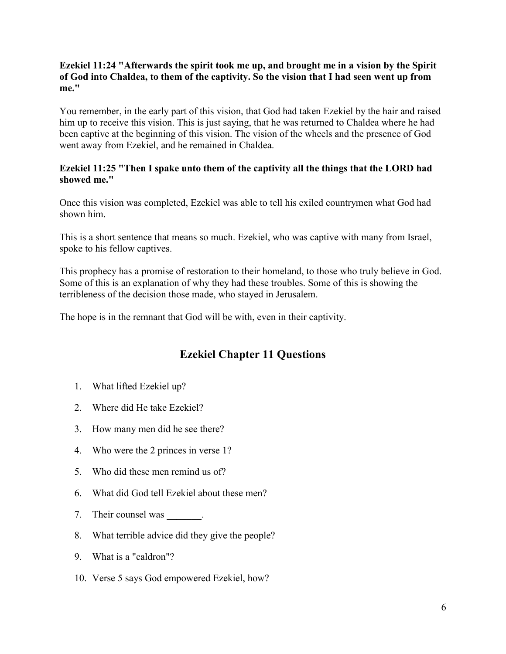#### **Ezekiel 11:24 "Afterwards the spirit took me up, and brought me in a vision by the Spirit of God into Chaldea, to them of the captivity. So the vision that I had seen went up from me."**

You remember, in the early part of this vision, that God had taken Ezekiel by the hair and raised him up to receive this vision. This is just saying, that he was returned to Chaldea where he had been captive at the beginning of this vision. The vision of the wheels and the presence of God went away from Ezekiel, and he remained in Chaldea.

#### **Ezekiel 11:25 "Then I spake unto them of the captivity all the things that the LORD had showed me."**

Once this vision was completed, Ezekiel was able to tell his exiled countrymen what God had shown him.

This is a short sentence that means so much. Ezekiel, who was captive with many from Israel, spoke to his fellow captives.

This prophecy has a promise of restoration to their homeland, to those who truly believe in God. Some of this is an explanation of why they had these troubles. Some of this is showing the terribleness of the decision those made, who stayed in Jerusalem.

The hope is in the remnant that God will be with, even in their captivity.

# **Ezekiel Chapter 11 Questions**

- 1. What lifted Ezekiel up?
- 2. Where did He take Ezekiel?
- 3. How many men did he see there?
- 4. Who were the 2 princes in verse 1?
- 5. Who did these men remind us of?
- 6. What did God tell Ezekiel about these men?
- 7. Their counsel was \_\_\_\_\_\_\_.
- 8. What terrible advice did they give the people?
- 9. What is a "caldron"?
- 10. Verse 5 says God empowered Ezekiel, how?